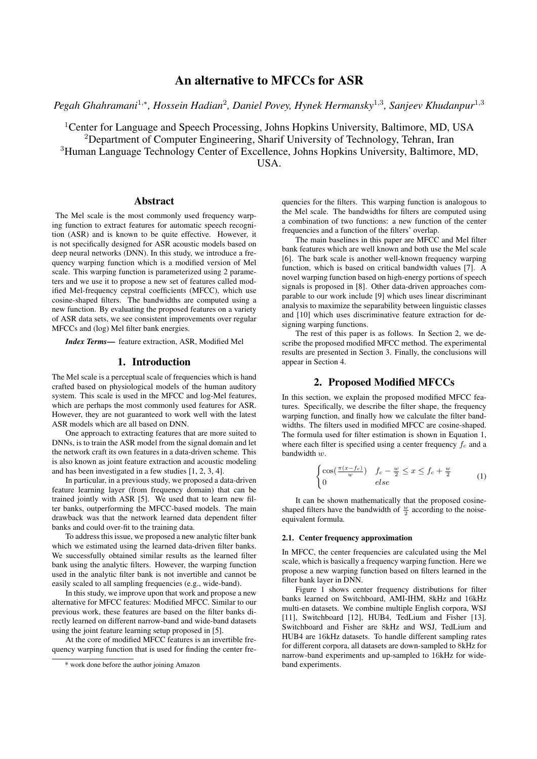*Pegah Ghahramani*<sup>1,∗</sup>, *Hossein Hadian<sup>2</sup>, Daniel Povey, Hynek Hermansky*<sup>1,3</sup>, Sanjeev Khudanpur<sup>1,3</sup>

<sup>1</sup>Center for Language and Speech Processing, Johns Hopkins University, Baltimore, MD, USA <sup>2</sup>Department of Computer Engineering, Sharif University of Technology, Tehran, Iran <sup>3</sup>Human Language Technology Center of Excellence, Johns Hopkins University, Baltimore, MD, USA.

## Abstract

The Mel scale is the most commonly used frequency warping function to extract features for automatic speech recognition (ASR) and is known to be quite effective. However, it is not specifically designed for ASR acoustic models based on deep neural networks (DNN). In this study, we introduce a frequency warping function which is a modified version of Mel scale. This warping function is parameterized using 2 parameters and we use it to propose a new set of features called modified Mel-frequency cepstral coefficients (MFCC), which use cosine-shaped filters. The bandwidths are computed using a new function. By evaluating the proposed features on a variety of ASR data sets, we see consistent improvements over regular MFCCs and (log) Mel filter bank energies.

*Index Terms*— feature extraction, ASR, Modified Mel

# 1. Introduction

The Mel scale is a perceptual scale of frequencies which is hand crafted based on physiological models of the human auditory system. This scale is used in the MFCC and log-Mel features, which are perhaps the most commonly used features for ASR. However, they are not guaranteed to work well with the latest ASR models which are all based on DNN.

One approach to extracting features that are more suited to DNNs, is to train the ASR model from the signal domain and let the network craft its own features in a data-driven scheme. This is also known as joint feature extraction and acoustic modeling and has been investigated in a few studies [1, 2, 3, 4].

In particular, in a previous study, we proposed a data-driven feature learning layer (from frequency domain) that can be trained jointly with ASR [5]. We used that to learn new filter banks, outperforming the MFCC-based models. The main drawback was that the network learned data dependent filter banks and could over-fit to the training data.

To address this issue, we proposed a new analytic filter bank which we estimated using the learned data-driven filter banks. We successfully obtained similar results as the learned filter bank using the analytic filters. However, the warping function used in the analytic filter bank is not invertible and cannot be easily scaled to all sampling frequencies (e.g., wide-band).

In this study, we improve upon that work and propose a new alternative for MFCC features: Modified MFCC. Similar to our previous work, these features are based on the filter banks directly learned on different narrow-band and wide-band datasets using the joint feature learning setup proposed in [5].

At the core of modified MFCC features is an invertible frequency warping function that is used for finding the center fre-

quencies for the filters. This warping function is analogous to the Mel scale. The bandwidths for filters are computed using a combination of two functions: a new function of the center frequencies and a function of the filters' overlap.

The main baselines in this paper are MFCC and Mel filter bank features which are well known and both use the Mel scale [6]. The bark scale is another well-known frequency warping function, which is based on critical bandwidth values [7]. A novel warping function based on high-energy portions of speech signals is proposed in [8]. Other data-driven approaches comparable to our work include [9] which uses linear discriminant analysis to maximize the separability between linguistic classes and [10] which uses discriminative feature extraction for designing warping functions.

The rest of this paper is as follows. In Section 2, we describe the proposed modified MFCC method. The experimental results are presented in Section 3. Finally, the conclusions will appear in Section 4.

## 2. Proposed Modified MFCCs

In this section, we explain the proposed modified MFCC features. Specifically, we describe the filter shape, the frequency warping function, and finally how we calculate the filter bandwidths. The filters used in modified MFCC are cosine-shaped. The formula used for filter estimation is shown in Equation 1, where each filter is specified using a center frequency  $f_c$  and a bandwidth w.

$$
\begin{cases} \cos(\frac{\pi(x-f_c)}{w}) & f_c - \frac{w}{2} \le x \le f_c + \frac{w}{2} \\ 0 & else \end{cases} \tag{1}
$$

It can be shown mathematically that the proposed cosineshaped filters have the bandwidth of  $\frac{w}{2}$  according to the noiseequivalent formula.

#### 2.1. Center frequency approximation

In MFCC, the center frequencies are calculated using the Mel scale, which is basically a frequency warping function. Here we propose a new warping function based on filters learned in the filter bank layer in DNN.

Figure 1 shows center frequency distributions for filter banks learned on Switchboard, AMI-IHM, 8kHz and 16kHz multi-en datasets. We combine multiple English corpora, WSJ [11], Switchboard [12], HUB4, TedLium and Fisher [13]. Switchboard and Fisher are 8kHz and WSJ, TedLium and HUB4 are 16kHz datasets. To handle different sampling rates for different corpora, all datasets are down-sampled to 8kHz for narrow-band experiments and up-sampled to 16kHz for wideband experiments.

<sup>\*</sup> work done before the author joining Amazon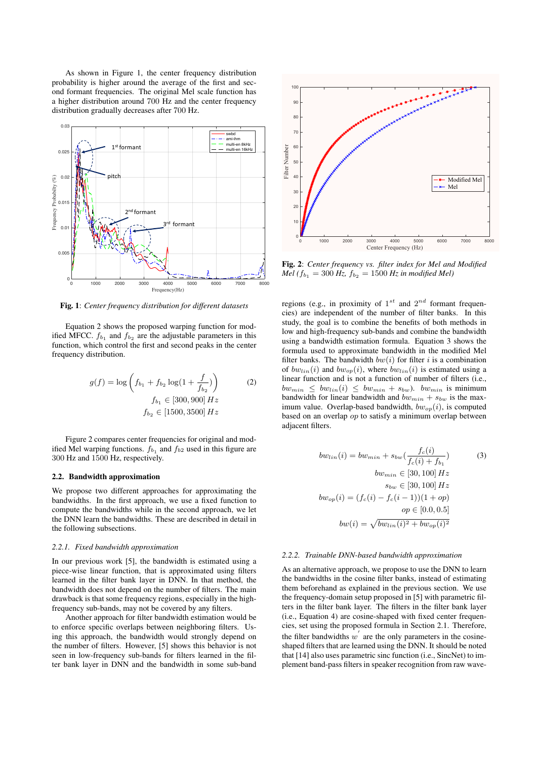As shown in Figure 1, the center frequency distribution probability is higher around the average of the first and second formant frequencies. The original Mel scale function has a higher distribution around 700 Hz and the center frequency distribution gradually decreases after 700 Hz.



Fig. 1: *Center frequency distribution for different datasets*

Equation 2 shows the proposed warping function for modified MFCC.  $f_{b_1}$  and  $f_{b_2}$  are the adjustable parameters in this function, which control the first and second peaks in the center frequency distribution.

$$
g(f) = \log \left( f_{b_1} + f_{b_2} \log(1 + \frac{f}{f_{b_2}}) \right)
$$
  
\n
$$
f_{b_1} \in [300, 900] Hz
$$
  
\n
$$
f_{b_2} \in [1500, 3500] Hz
$$
 (2)

Figure 2 compares center frequencies for original and modified Mel warping functions.  $f_{b_1}$  and  $f_{b_2}$  used in this figure are 300 Hz and 1500 Hz, respectively.

### 2.2. Bandwidth approximation

We propose two different approaches for approximating the bandwidths. In the first approach, we use a fixed function to compute the bandwidths while in the second approach, we let the DNN learn the bandwidths. These are described in detail in the following subsections.

#### *2.2.1. Fixed bandwidth approximation*

In our previous work [5], the bandwidth is estimated using a piece-wise linear function, that is approximated using filters learned in the filter bank layer in DNN. In that method, the bandwidth does not depend on the number of filters. The main drawback is that some frequency regions, especially in the highfrequency sub-bands, may not be covered by any filters.

Another approach for filter bandwidth estimation would be to enforce specific overlaps between neighboring filters. Using this approach, the bandwidth would strongly depend on the number of filters. However, [5] shows this behavior is not seen in low-frequency sub-bands for filters learned in the filter bank layer in DNN and the bandwidth in some sub-band



Fig. 2: *Center frequency vs. filter index for Mel and Modified Mel* ( $f_{b_1} = 300$  *Hz,*  $f_{b_2} = 1500$  *Hz in modified Mel*)

regions (e.g., in proximity of  $1^{st}$  and  $2^{nd}$  formant frequencies) are independent of the number of filter banks. In this study, the goal is to combine the benefits of both methods in low and high-frequency sub-bands and combine the bandwidth using a bandwidth estimation formula. Equation 3 shows the formula used to approximate bandwidth in the modified Mel filter banks. The bandwidth  $bw(i)$  for filter i is a combination of  $bw_{lin}(i)$  and  $bw_{op}(i)$ , where  $bw_{lin}(i)$  is estimated using a linear function and is not a function of number of filters (i.e.,  $bw_{min} \leq bw_{lin}(i) \leq bw_{min} + s_{bw}$ ).  $bw_{min}$  is minimum bandwidth for linear bandwidth and  $bw_{min} + s_{bw}$  is the maximum value. Overlap-based bandwidth,  $bw_{op}(i)$ , is computed based on an overlap op to satisfy a minimum overlap between adjacent filters.

$$
bw_{lin}(i) = bw_{min} + s_{bw}(\frac{f_c(i)}{f_c(i) + f_{b_1}})
$$
(3)  

$$
bw_{min} \in [30, 100] Hz
$$
  

$$
s_{bw} \in [30, 100] Hz
$$
  

$$
bw_{op}(i) = (f_c(i) - f_c(i - 1))(1 + op)
$$
  

$$
op \in [0.0, 0.5]
$$
  

$$
bw(i) = \sqrt{bw_{lin}(i)^2 + bw_{op}(i)^2}
$$

#### *2.2.2. Trainable DNN-based bandwidth approximation*

As an alternative approach, we propose to use the DNN to learn the bandwidths in the cosine filter banks, instead of estimating them beforehand as explained in the previous section. We use the frequency-domain setup proposed in [5] with parametric filters in the filter bank layer. The filters in the filter bank layer (i.e., Equation 4) are cosine-shaped with fixed center frequencies, set using the proposed formula in Section 2.1. Therefore, the filter bandwidths  $w'$  are the only parameters in the cosineshaped filters that are learned using the DNN. It should be noted that [14] also uses parametric sinc function (i.e., SincNet) to implement band-pass filters in speaker recognition from raw wave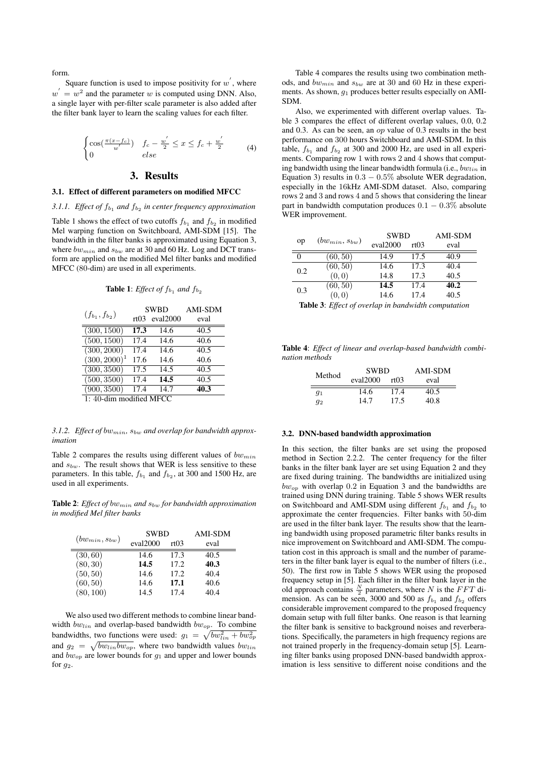form.

Square function is used to impose positivity for  $w'$ , where  $w' = w^2$  and the parameter w is computed using DNN. Also, a single layer with per-filter scale parameter is also added after the filter bank layer to learn the scaling values for each filter.

$$
\begin{cases} \cos(\frac{\pi(x-f_c)}{w'}) & f_c - \frac{w'}{2} \le x \le f_c + \frac{w'}{2} \\ 0 & else \end{cases} \tag{4}
$$

# 3. Results

## 3.1. Effect of different parameters on modified MFCC

3.1.1. Effect of  $f_{b_1}$  and  $f_{b_2}$  in center frequency approximation

Table 1 shows the effect of two cutoffs  $f_{b_1}$  and  $f_{b_2}$  in modified Mel warping function on Switchboard, AMI-SDM [15]. The bandwidth in the filter banks is approximated using Equation 3, where  $bw_{min}$  and  $s_{bw}$  are at 30 and 60 Hz. Log and DCT transform are applied on the modified Mel filter banks and modified MFCC (80-dim) are used in all experiments.

**Table 1:** *Effect of*  $f_{b_1}$  *and*  $f_{b_2}$ 

|                          | <b>SWBD</b> |          | <b>AMI-SDM</b> |  |
|--------------------------|-------------|----------|----------------|--|
| $(f_{b_1}, f_{b_2})$     | rt03        | eval2000 | eval           |  |
| (300, 1500)              | 17.3        | 14.6     | 40.5           |  |
| (500, 1500)              | 17.4        | 14.6     | 40.6           |  |
| (300, 2000)              | 17.4        | 14.6     | 40.5           |  |
| $(300, 2000)^1$          | 17.6        | 14.6     | 40.6           |  |
| (300, 3500)              | 17.5        | 14.5     | 40.5           |  |
| (500, 3500)              | 17.4        | 14.5     | 40.5           |  |
| (900, 3500)              | 17.4        | 14.7     | 40.3           |  |
| $1.40$ dim modified MECC |             |          |                |  |

1: 40-dim modified MFCC

3.1.2. Effect of bw<sub>min</sub>,  $s_{bw}$  and overlap for bandwidth approx*imation*

Table 2 compares the results using different values of  $bw_{min}$ and  $s_{bw}$ . The result shows that WER is less sensitive to these parameters. In this table,  $f_{b_1}$  and  $f_{b_2}$ , at 300 and 1500 Hz, are used in all experiments.

Table 2: *Effect of bw<sub>min</sub>* and  $s_{bw}$  for bandwidth approximation *in modified Mel filter banks*

|                      | <b>SWBD</b> | <b>AMI-SDM</b> |      |
|----------------------|-------------|----------------|------|
| $(bw_{min}, s_{bw})$ | eval2000    | rt03           | eval |
| (30, 60)             | 14.6        | 17.3           | 40.5 |
| (80, 30)             | 14.5        | 17.2           | 40.3 |
| (50, 50)             | 14.6        | 17.2           | 40.4 |
| (60, 50)             | 14.6        | 17.1           | 40.6 |
| (80, 100)            | 14.5        | 17.4           | 40.4 |

We also used two different methods to combine linear bandwidth  $bw_{lin}$  and overlap-based bandwidth  $bw_{op}$ . To combine bandwidths, two functions were used:  $g_1 = \sqrt{bw_{lin}^2 + bw_{op}^2}$ and  $g_2 = \sqrt{bw_{lin}bw_{op}}$ , where two bandwidth values  $bw_{lin}$ and  $bw_{op}$  are lower bounds for  $g_1$  and upper and lower bounds for  $g_2$ .

Table 4 compares the results using two combination methods, and  $bw_{min}$  and  $s_{bw}$  are at 30 and 60 Hz in these experiments. As shown,  $g_1$  produces better results especially on AMI-SDM.

Also, we experimented with different overlap values. Table 3 compares the effect of different overlap values, 0.0, 0.2 and 0.3. As can be seen, an op value of 0.3 results in the best performance on 300 hours Switchboard and AMI-SDM. In this table,  $f_{b_1}$  and  $f_{b_2}$  at 300 and 2000 Hz, are used in all experiments. Comparing row 1 with rows 2 and 4 shows that computing bandwidth using the linear bandwidth formula (i.e.,  $bw_{lin}$  in Equation 3) results in  $0.3 - 0.5\%$  absolute WER degradation, especially in the 16kHz AMI-SDM dataset. Also, comparing rows 2 and 3 and rows 4 and 5 shows that considering the linear part in bandwidth computation produces  $0.1 - 0.3\%$  absolute WER improvement.

|     |                      | <b>SWBD</b> |      | <b>AMI-SDM</b> |
|-----|----------------------|-------------|------|----------------|
| op  | $(bw_{min}, s_{bw})$ | eval2000    | rt03 | eval           |
| 0   | (60, 50)             | 14.9        | 17.5 | 40.9           |
| 0.2 | (60, 50)             | 14.6        | 17.3 | 40.4           |
|     | (0, 0)               | 14.8        | 17.3 | 40.5           |
| 0.3 | (60, 50)             | 14.5        | 17.4 | 40.2           |
|     | (0, 0)               | 14.6        | 17.4 | 40.5           |

Table 3: *Effect of overlap in bandwidth computation*

Table 4: *Effect of linear and overlap-based bandwidth combination methods*

| Method | <b>SWBD</b> |      | AMI-SDM |
|--------|-------------|------|---------|
|        | eval2000    | rt03 | eval    |
| $g_1$  | 14.6        | 17.4 | 40.5    |
| $q_2$  | 14.7        | 17.5 | 40.8    |

#### 3.2. DNN-based bandwidth approximation

In this section, the filter banks are set using the proposed method in Section 2.2.2. The center frequency for the filter banks in the filter bank layer are set using Equation 2 and they are fixed during training. The bandwidths are initialized using  $bw_{op}$  with overlap 0.2 in Equation 3 and the bandwidths are trained using DNN during training. Table 5 shows WER results on Switchboard and AMI-SDM using different  $f_{b_1}$  and  $f_{b_2}$  to approximate the center frequencies. Filter banks with 50-dim are used in the filter bank layer. The results show that the learning bandwidth using proposed parametric filter banks results in nice improvement on Switchboard and AMI-SDM. The computation cost in this approach is small and the number of parameters in the filter bank layer is equal to the number of filters (i.e., 50). The first row in Table 5 shows WER using the proposed frequency setup in [5]. Each filter in the filter bank layer in the old approach contains  $\frac{N}{2}$  parameters, where N is the FFT dimension. As can be seen, 3000 and 500 as  $f_{b_1}$  and  $f_{b_2}$  offers considerable improvement compared to the proposed frequency domain setup with full filter banks. One reason is that learning the filter bank is sensitive to background noises and reverberations. Specifically, the parameters in high frequency regions are not trained properly in the frequency-domain setup [5]. Learning filter banks using proposed DNN-based bandwidth approximation is less sensitive to different noise conditions and the